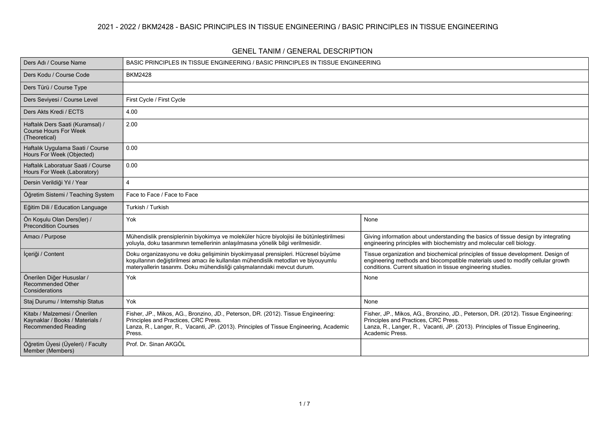| <b>GENEL TANIM / GENERAL DESCRIPTION</b> |  |
|------------------------------------------|--|
|------------------------------------------|--|

| Ders Adı / Course Name                                                                         | BASIC PRINCIPLES IN TISSUE ENGINEERING / BASIC PRINCIPLES IN TISSUE ENGINEERING                                                                                                                                                                      |                                                                                                                                                                                                                                   |  |  |  |  |  |  |
|------------------------------------------------------------------------------------------------|------------------------------------------------------------------------------------------------------------------------------------------------------------------------------------------------------------------------------------------------------|-----------------------------------------------------------------------------------------------------------------------------------------------------------------------------------------------------------------------------------|--|--|--|--|--|--|
| Ders Kodu / Course Code                                                                        | <b>BKM2428</b>                                                                                                                                                                                                                                       |                                                                                                                                                                                                                                   |  |  |  |  |  |  |
| Ders Türü / Course Type                                                                        |                                                                                                                                                                                                                                                      |                                                                                                                                                                                                                                   |  |  |  |  |  |  |
| Ders Seviyesi / Course Level                                                                   | First Cycle / First Cycle                                                                                                                                                                                                                            |                                                                                                                                                                                                                                   |  |  |  |  |  |  |
| Ders Akts Kredi / ECTS                                                                         | 4.00                                                                                                                                                                                                                                                 |                                                                                                                                                                                                                                   |  |  |  |  |  |  |
| Haftalık Ders Saati (Kuramsal) /<br><b>Course Hours For Week</b><br>(Theoretical)              | 2.00                                                                                                                                                                                                                                                 |                                                                                                                                                                                                                                   |  |  |  |  |  |  |
| Haftalık Uygulama Saati / Course<br>Hours For Week (Objected)                                  | 0.00                                                                                                                                                                                                                                                 |                                                                                                                                                                                                                                   |  |  |  |  |  |  |
| Haftalık Laboratuar Saati / Course<br>Hours For Week (Laboratory)                              | 0.00                                                                                                                                                                                                                                                 |                                                                                                                                                                                                                                   |  |  |  |  |  |  |
| Dersin Verildiği Yıl / Year                                                                    | $\overline{4}$                                                                                                                                                                                                                                       |                                                                                                                                                                                                                                   |  |  |  |  |  |  |
| Öğretim Sistemi / Teaching System                                                              | Face to Face / Face to Face                                                                                                                                                                                                                          |                                                                                                                                                                                                                                   |  |  |  |  |  |  |
| Eğitim Dili / Education Language                                                               | Turkish / Turkish                                                                                                                                                                                                                                    |                                                                                                                                                                                                                                   |  |  |  |  |  |  |
| Ön Koşulu Olan Ders(ler) /<br><b>Precondition Courses</b>                                      | Yok                                                                                                                                                                                                                                                  | None                                                                                                                                                                                                                              |  |  |  |  |  |  |
| Amacı / Purpose                                                                                | Mühendislik prensiplerinin biyokimya ve moleküler hücre biyolojisi ile bütünleştirilmesi<br>yoluyla, doku tasarımının temellerinin anlaşılmasına yönelik bilgi verilmesidir.                                                                         | Giving information about understanding the basics of tissue design by integrating<br>engineering principles with biochemistry and molecular cell biology.                                                                         |  |  |  |  |  |  |
| İçeriği / Content                                                                              | Doku organizasyonu ve doku gelişiminin biyokimyasal prensipleri. Hücresel büyüme<br>koşullarının değiştirilmesi amacı ile kullanılan mühendislik metodları ve biyouyumlu<br>materyallerin tasarımı. Doku mühendisliği çalışmalarındaki mevcut durum. | Tissue organization and biochemical principles of tissue development. Design of<br>engineering methods and biocompatible materials used to modify cellular growth<br>conditions. Current situation in tissue engineering studies. |  |  |  |  |  |  |
| Önerilen Diğer Hususlar /<br><b>Recommended Other</b><br>Considerations                        | Yok                                                                                                                                                                                                                                                  | None                                                                                                                                                                                                                              |  |  |  |  |  |  |
| Staj Durumu / Internship Status                                                                | Yok                                                                                                                                                                                                                                                  | None                                                                                                                                                                                                                              |  |  |  |  |  |  |
| Kitabı / Malzemesi / Önerilen<br>Kaynaklar / Books / Materials /<br><b>Recommended Reading</b> | Fisher, JP., Mikos, AG., Bronzino, JD., Peterson, DR. (2012). Tissue Engineering:<br>Principles and Practices, CRC Press.<br>Lanza, R., Langer, R., Vacanti, JP. (2013). Principles of Tissue Engineering, Academic<br>Press.                        | Fisher, JP., Mikos, AG., Bronzino, JD., Peterson, DR. (2012). Tissue Engineering:<br>Principles and Practices, CRC Press.<br>Lanza, R., Langer, R., Vacanti, JP. (2013). Principles of Tissue Engineering,<br>Academic Press.     |  |  |  |  |  |  |
| Öğretim Üyesi (Üyeleri) / Faculty<br>Member (Members)                                          | Prof. Dr. Sinan AKGÖL                                                                                                                                                                                                                                |                                                                                                                                                                                                                                   |  |  |  |  |  |  |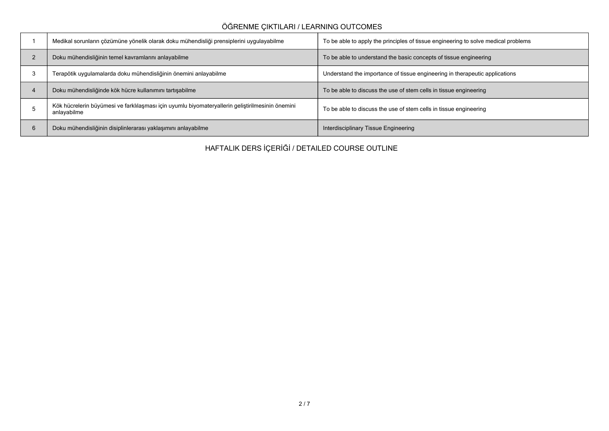## **ÖĞRENME ÇIKTILARI / LEARNING OUTCOMES**

|   | Medikal sorunların çözümüne yönelik olarak doku mühendisliği prensiplerini uygulayabilme                        | To be able to apply the principles of tissue engineering to solve medical problems |
|---|-----------------------------------------------------------------------------------------------------------------|------------------------------------------------------------------------------------|
|   | Doku mühendisliğinin temel kavramlarını anlayabilme                                                             | To be able to understand the basic concepts of tissue engineering                  |
|   | Terapötik uygulamalarda doku mühendisliğinin önemini anlayabilme                                                | Understand the importance of tissue engineering in therapeutic applications        |
|   | Doku mühendisliğinde kök hücre kullanımını tartışabilme                                                         | To be able to discuss the use of stem cells in tissue engineering                  |
|   | Kök hücrelerin büyümesi ve farklılaşması için uyumlu biyomateryallerin geliştirilmesinin önemini<br>anlayabilme | To be able to discuss the use of stem cells in tissue engineering                  |
| ь | Doku mühendisliğinin disiplinlerarası yaklaşımını anlayabilme                                                   | Interdisciplinary Tissue Engineering                                               |

**HAFTALIK DERS İÇERİĞİ / DETAILED COURSE OUTLINE**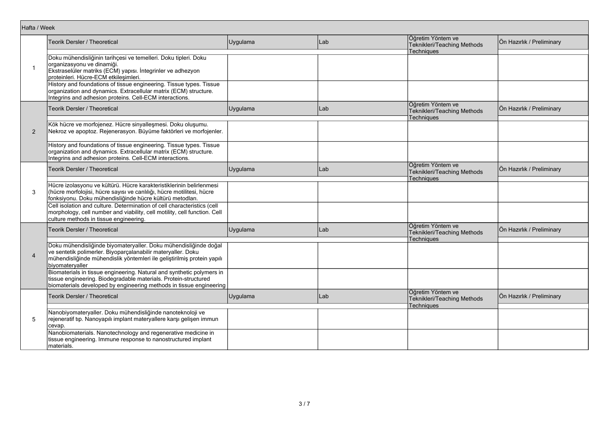| Hafta / Week   |                                                                                                                                                                                                                                |          |     |                                                                       |                           |
|----------------|--------------------------------------------------------------------------------------------------------------------------------------------------------------------------------------------------------------------------------|----------|-----|-----------------------------------------------------------------------|---------------------------|
|                | Teorik Dersler / Theoretical                                                                                                                                                                                                   | Uygulama | Lab | Öğretim Yöntem ve<br>Teknikleri/Teaching Methods                      | Ön Hazırlık / Preliminary |
| $\overline{1}$ | Doku mühendisliğinin tarihçesi ve temelleri. Doku tipleri. Doku<br>organizasyonu ve dinamiği.<br>Ekstraselüler matriks (ECM) yapısı. İntegrinler ve adhezyon<br>proteinleri. Hücre-ECM etkileşimleri.                          |          |     | Techniques                                                            |                           |
|                | History and foundations of tissue engineering. Tissue types. Tissue<br>organization and dynamics. Extracellular matrix (ECM) structure.<br>Integrins and adhesion proteins. Cell-ECM interactions.                             |          |     |                                                                       |                           |
|                | Teorik Dersler / Theoretical                                                                                                                                                                                                   | Uygulama | Lab | Öğretim Yöntem ve<br>Teknikleri/Teaching Methods<br><b>Techniques</b> | Ön Hazırlık / Preliminary |
| 2              | Kök hücre ve morfojenez. Hücre sinyalleşmesi. Doku oluşumu.<br>Nekroz ve apoptoz. Rejenerasyon. Büyüme faktörleri ve morfojenler.                                                                                              |          |     |                                                                       |                           |
|                | History and foundations of tissue engineering. Tissue types. Tissue<br>organization and dynamics. Extracellular matrix (ECM) structure.<br>Integrins and adhesion proteins. Cell-ECM interactions.                             |          |     |                                                                       |                           |
|                | Teorik Dersler / Theoretical                                                                                                                                                                                                   | Uygulama | Lab | Öğretim Yöntem ve<br>Teknikleri/Teaching Methods<br><b>Techniques</b> | Ön Hazırlık / Preliminary |
| 3              | Hücre izolasyonu ve kültürü. Hücre karakteristiklerinin belirlenmesi<br>(hücre morfolojisi, hücre sayısı ve canlılığı, hücre motilitesi, hücre<br>fonksiyonu. Doku mühendisliğinde hücre kültürü metodları.                    |          |     |                                                                       |                           |
|                | Cell isolation and culture. Determination of cell characteristics (cell<br>morphology, cell number and viability, cell motility, cell function. Cell<br>culture methods in tissue engineering.                                 |          |     |                                                                       |                           |
|                | Teorik Dersler / Theoretical                                                                                                                                                                                                   | Uygulama | Lab | Öğretim Yöntem ve<br>Teknikleri/Teaching Methods<br>Techniques        | Ön Hazırlık / Preliminary |
| $\overline{4}$ | Doku mühendisliğinde biyomateryaller. Doku mühendisliğinde doğal<br>ve sentetik polimerler. Biyoparçalanabilir materyaller. Doku<br>mühendisliğinde mühendislik yöntemleri ile geliştirilmiş protein yapılı<br>biyomateryaller |          |     |                                                                       |                           |
|                | Biomaterials in tissue engineering. Natural and synthetic polymers in<br>tissue engineering. Biodegradable materials. Protein-structured<br>biomaterials developed by engineering methods in tissue engineering                |          |     |                                                                       |                           |
|                | Teorik Dersler / Theoretical                                                                                                                                                                                                   | Uygulama | Lab | Öğretim Yöntem ve<br>Teknikleri/Teaching Methods<br>Techniques        | Ön Hazırlık / Preliminary |
| 5              | Nanobiyomateryaller. Doku mühendisliğinde nanoteknoloji ve<br>rejeneratif tıp. Nanoyapılı implant materyallere karşı gelişen immun<br>cevap.                                                                                   |          |     |                                                                       |                           |
|                | Nanobiomaterials. Nanotechnology and regenerative medicine in<br>tissue engineering. Immune response to nanostructured implant<br>materials.                                                                                   |          |     |                                                                       |                           |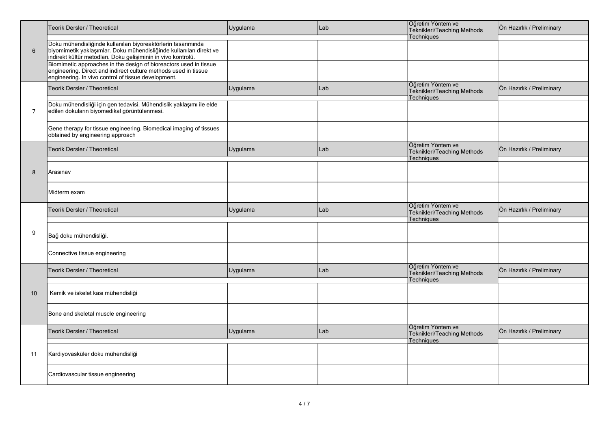|                | Teorik Dersler / Theoretical                                                                                                                                                                        | Uygulama | Lab | Öğretim Yöntem ve<br>Teknikleri/Teaching Methods<br>Techniques        | Ön Hazırlık / Preliminary |
|----------------|-----------------------------------------------------------------------------------------------------------------------------------------------------------------------------------------------------|----------|-----|-----------------------------------------------------------------------|---------------------------|
| $6\phantom{1}$ | Doku mühendisliğinde kullanılan biyoreaktörlerin tasarımında<br>biyomimetik yaklaşımlar. Doku mühendisliğinde kullanılan direkt ve<br>indirekt kültür metodları. Doku gelişiminin in vivo kontrolü. |          |     |                                                                       |                           |
|                | Biomimetic approaches in the design of bioreactors used in tissue<br>engineering. Direct and indirect culture methods used in tissue<br>engineering. In vivo control of tissue development.         |          |     |                                                                       |                           |
|                | Teorik Dersler / Theoretical                                                                                                                                                                        | Uygulama | Lab | Öğretim Yöntem ve<br>Teknikleri/Teaching Methods<br>Techniques        | Ön Hazırlık / Preliminary |
| 7              | Doku mühendisliği için gen tedavisi. Mühendislik yaklaşımı ile elde<br>edilen dokuların biyomedikal görüntülenmesi.                                                                                 |          |     |                                                                       |                           |
|                | Gene therapy for tissue engineering. Biomedical imaging of tissues<br>obtained by engineering approach                                                                                              |          |     |                                                                       |                           |
|                | <b>Teorik Dersler / Theoretical</b>                                                                                                                                                                 | Uygulama | Lab | Öğretim Yöntem ve<br>Teknikleri/Teaching Methods<br><b>Techniques</b> | Ön Hazırlık / Preliminary |
| 8              | Arasınav                                                                                                                                                                                            |          |     |                                                                       |                           |
|                | Midterm exam                                                                                                                                                                                        |          |     |                                                                       |                           |
|                | Teorik Dersler / Theoretical                                                                                                                                                                        | Uygulama | Lab | Öğretim Yöntem ve<br>Teknikleri/Teaching Methods<br><b>Techniques</b> | Ön Hazırlık / Preliminary |
| 9              | Bağ doku mühendisliği.                                                                                                                                                                              |          |     |                                                                       |                           |
|                | Connective tissue engineering                                                                                                                                                                       |          |     |                                                                       |                           |
|                | <b>Teorik Dersler / Theoretical</b>                                                                                                                                                                 | Uygulama | Lab | Öğretim Yöntem ve<br>Teknikleri/Teaching Methods<br><b>Techniques</b> | Ön Hazırlık / Preliminary |
| 10             | Kemik ve iskelet kası mühendisliği                                                                                                                                                                  |          |     |                                                                       |                           |
|                | Bone and skeletal muscle engineering                                                                                                                                                                |          |     |                                                                       |                           |
|                | Teorik Dersler / Theoretical                                                                                                                                                                        | Uygulama | Lab | Öğretim Yöntem ve<br>Teknikleri/Teaching Methods<br><b>Techniques</b> | Ön Hazırlık / Preliminary |
| 11             | Kardiyovasküler doku mühendisliği                                                                                                                                                                   |          |     |                                                                       |                           |
|                | Cardiovascular tissue engineering                                                                                                                                                                   |          |     |                                                                       |                           |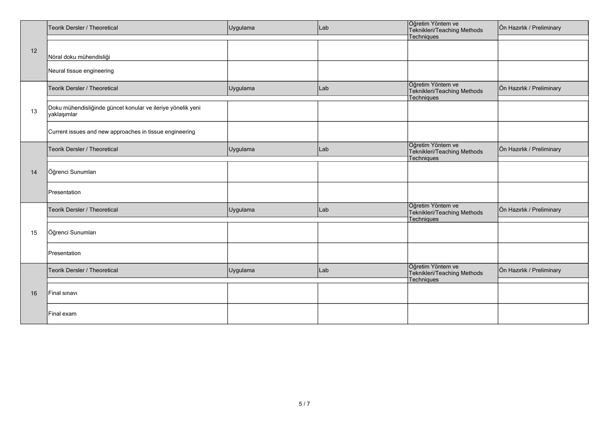|    | Teorik Dersler / Theoretical                                               | Uygulama | Lab | Öğretim Yöntem ve<br>Teknikleri/Teaching Methods               | Ön Hazırlık / Preliminary |
|----|----------------------------------------------------------------------------|----------|-----|----------------------------------------------------------------|---------------------------|
|    |                                                                            |          |     | Techniques                                                     |                           |
| 12 | Nöral doku mühendisliği                                                    |          |     |                                                                |                           |
|    | Neural tissue engineering                                                  |          |     |                                                                |                           |
|    | Teorik Dersler / Theoretical                                               | Uygulama | Lab | Öğretim Yöntem ve<br>Teknikleri/Teaching Methods<br>Techniques | Ön Hazırlık / Preliminary |
| 13 | Doku mühendisliğinde güncel konular ve ileriye yönelik yeni<br>yaklaşımlar |          |     |                                                                |                           |
|    | Current issues and new approaches in tissue engineering                    |          |     |                                                                |                           |
|    | Teorik Dersler / Theoretical                                               | Uygulama | Lab | Öğretim Yöntem ve<br>Teknikleri/Teaching Methods<br>Techniques | Ön Hazırlık / Preliminary |
| 14 | Öğrenci Sunumları                                                          |          |     |                                                                |                           |
|    | Presentation                                                               |          |     |                                                                |                           |
|    | Teorik Dersler / Theoretical                                               | Uygulama | Lab | Öğretim Yöntem ve<br>Teknikleri/Teaching Methods<br>Techniques | Ön Hazırlık / Preliminary |
| 15 | Öğrenci Sunumları                                                          |          |     |                                                                |                           |
|    | Presentation                                                               |          |     |                                                                |                           |
|    | Teorik Dersler / Theoretical                                               | Uygulama | Lab | Öğretim Yöntem ve<br>Teknikleri/Teaching Methods<br>Techniques | Ön Hazırlık / Preliminary |
| 16 | Final sinavi                                                               |          |     |                                                                |                           |
|    | Final exam                                                                 |          |     |                                                                |                           |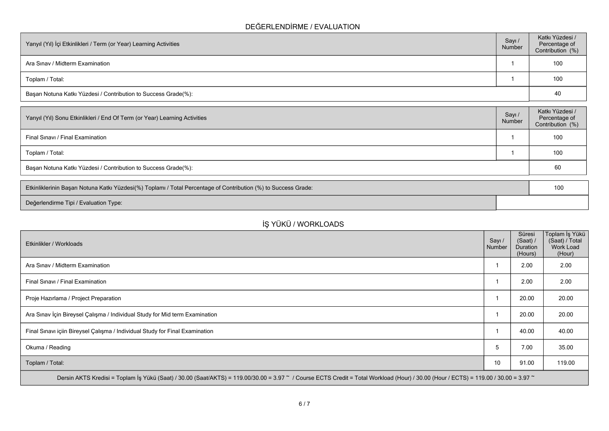## **DEĞERLENDİRME / EVALUATION**

| Yarıyıl (Yıl) İçi Etkinlikleri / Term (or Year) Learning Activities | Sayı /<br>Number | Katkı Yüzdesi /<br>Percentage of<br>Contribution (%) |
|---------------------------------------------------------------------|------------------|------------------------------------------------------|
| Ara Sinav / Midterm Examination                                     |                  | 100                                                  |
| Toplam / Total:                                                     |                  | 100                                                  |
| Başarı Notuna Katkı Yüzdesi / Contribution to Success Grade(%):     |                  | 40                                                   |

| Sayı /<br>Number                                                | Katkı Yüzdesi /<br>Percentage of<br>Contribution (%) |  |  |  |
|-----------------------------------------------------------------|------------------------------------------------------|--|--|--|
|                                                                 | 100                                                  |  |  |  |
|                                                                 | 100                                                  |  |  |  |
| Başarı Notuna Katkı Yüzdesi / Contribution to Success Grade(%): |                                                      |  |  |  |
|                                                                 |                                                      |  |  |  |

| Etkinliklerinin Başarı Notuna Katkı Yüzdesi(%) Toplamı / Total Percentage of Contribution (%) to Success Grade: |  | 10 |
|-----------------------------------------------------------------------------------------------------------------|--|----|
| Değerlendirme Tipi / Evaluation Type:                                                                           |  |    |

## **İŞ YÜKÜ / WORKLOADS**

| Etkinlikler / Workloads                                                                                                                                                              | Sayı /<br>Number | Süresi<br>(Saat) /<br><b>Duration</b><br>(Hours) | Toplam İş Yükü  <br>(Saat) / Total<br>Work Load<br>(Hour) |
|--------------------------------------------------------------------------------------------------------------------------------------------------------------------------------------|------------------|--------------------------------------------------|-----------------------------------------------------------|
| Ara Sinav / Midterm Examination                                                                                                                                                      |                  | 2.00                                             | 2.00                                                      |
| Final Sinavi / Final Examination                                                                                                                                                     |                  | 2.00                                             | 2.00                                                      |
| Proje Hazırlama / Project Preparation                                                                                                                                                |                  | 20.00                                            | 20.00                                                     |
| Ara Sınav İçin Bireysel Çalışma / Individual Study for Mid term Examination                                                                                                          |                  | 20.00                                            | 20.00                                                     |
| Final Sinavi içiin Bireysel Çalışma / Individual Study for Final Examination                                                                                                         |                  | 40.00                                            | 40.00                                                     |
| Okuma / Reading                                                                                                                                                                      | 5                | 7.00                                             | 35.00                                                     |
| Toplam / Total:                                                                                                                                                                      | 10               | 91.00                                            | 119.00                                                    |
| Dersin AKTS Kredisi = Toplam İş Yükü (Saat) / 30.00 (Saat/AKTS) = 119.00/30.00 = 3.97 ~ / Course ECTS Credit = Total Workload (Hour) / 30.00 (Hour / ECTS) = 119.00 / 30.00 = 3.97 ~ |                  |                                                  |                                                           |